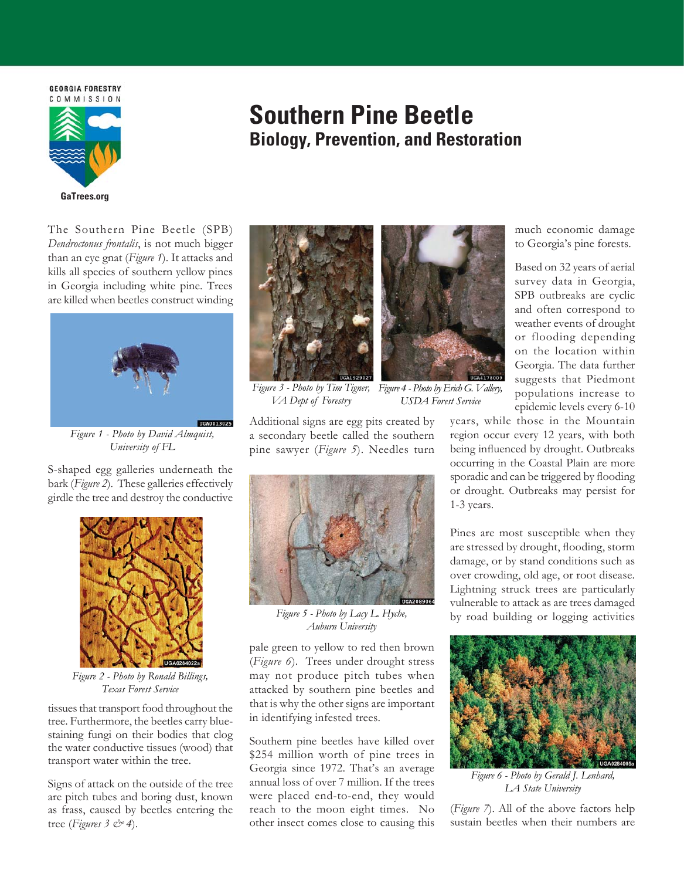**GEORGIA FORESTRY** 



# **Southern Pine Beetle Biology, Prevention, and Restoration**

The Southern Pine Beetle (SPB) *Dendroctonus frontalis*, is not much bigger than an eye gnat (*Figure 1*). It attacks and kills all species of southern yellow pines in Georgia including white pine. Trees are killed when beetles construct winding



*Figure 1 - Photo by David Almquist, University of FL*

S-shaped egg galleries underneath the bark (*Figure 2*). These galleries effectively girdle the tree and destroy the conductive



*Figure 2 - Photo by Ronald Billings, Texas Forest Service*

tissues that transport food throughout the tree. Furthermore, the beetles carry bluestaining fungi on their bodies that clog the water conductive tissues (wood) that transport water within the tree.

Signs of attack on the outside of the tree are pitch tubes and boring dust, known as frass, caused by beetles entering the tree (*Figures 3 & 4*).





*VA Dept of Forestry*

*Figure 3 - Photo by Tim Tigner, Figure 4 - Photo by Erich G. Vallery, USDA Forest Service*

Additional signs are egg pits created by a secondary beetle called the southern pine sawyer (*Figure 5*). Needles turn



*Figure 5 - Photo by Lacy L. Hyche, Auburn University*

pale green to yellow to red then brown (*Figure 6*). Trees under drought stress may not produce pitch tubes when attacked by southern pine beetles and that is why the other signs are important in identifying infested trees.

Southern pine beetles have killed over \$254 million worth of pine trees in Georgia since 1972. That's an average annual loss of over 7 million. If the trees were placed end-to-end, they would reach to the moon eight times. No other insect comes close to causing this much economic damage to Georgia's pine forests.

Based on 32 years of aerial survey data in Georgia, SPB outbreaks are cyclic and often correspond to weather events of drought or flooding depending on the location within Georgia. The data further suggests that Piedmont populations increase to epidemic levels every 6-10

years, while those in the Mountain region occur every 12 years, with both being influenced by drought. Outbreaks occurring in the Coastal Plain are more sporadic and can be triggered by flooding or drought. Outbreaks may persist for 1-3 years.

Pines are most susceptible when they are stressed by drought, Áooding, storm damage, or by stand conditions such as over crowding, old age, or root disease. Lightning struck trees are particularly vulnerable to attack as are trees damaged by road building or logging activities



*Figure 6 - Photo by Gerald J. Lenhard, LA State University*

(*Figure 7*). All of the above factors help sustain beetles when their numbers are